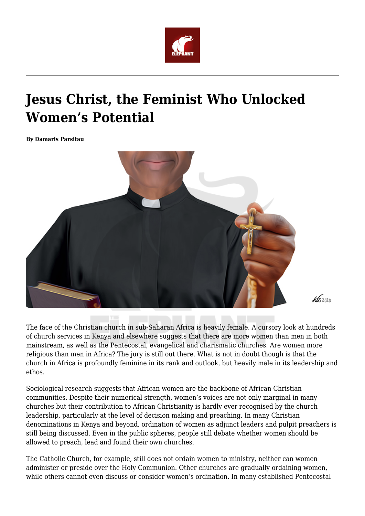

## **Jesus Christ, the Feminist Who Unlocked Women's Potential**

**By Damaris Parsitau**



The face of the Christian church in sub-Saharan Africa is heavily female. A cursory look at hundreds of church services in Kenya and elsewhere suggests that there are more women than men in both mainstream, as well as the Pentecostal, evangelical and charismatic churches. Are women more religious than men in Africa? The jury is still out there. What is not in doubt though is that the church in Africa is profoundly feminine in its rank and outlook, but heavily male in its leadership and ethos.

 $\frac{1}{652000}$ 

Sociological research suggests that African women are the backbone of African Christian communities. Despite their numerical strength, women's voices are not only marginal in many churches but their contribution to African Christianity is hardly ever recognised by the church leadership, particularly at the level of decision making and preaching. In many Christian denominations in Kenya and beyond, ordination of women as adjunct leaders and pulpit preachers is still being discussed. Even in the public spheres, people still debate whether women should be allowed to preach, lead and found their own churches.

The Catholic Church, for example, still does not ordain women to ministry, neither can women administer or preside over the Holy Communion. Other churches are gradually ordaining women, while others cannot even discuss or consider women's ordination. In many established Pentecostal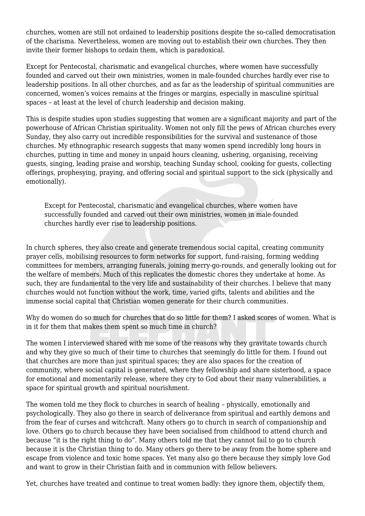churches, women are still not ordained to leadership positions despite the so-called democratisation of the charisma. Nevertheless, women are moving out to establish their own churches. They then invite their former bishops to ordain them, which is paradoxical.

Except for Pentecostal, charismatic and evangelical churches, where women have successfully founded and carved out their own ministries, women in male-founded churches hardly ever rise to leadership positions. In all other churches, and as far as the leadership of spiritual communities are concerned, women's voices remains at the fringes or margins, especially in masculine spiritual spaces – at least at the level of church leadership and decision making.

This is despite studies upon studies suggesting that women are a significant majority and part of the powerhouse of African Christian spirituality. Women not only fill the pews of African churches every Sunday, they also carry out incredible responsibilities for the survival and sustenance of those churches. My ethnographic research suggests that many women spend incredibly long hours in churches, putting in time and money in unpaid hours cleaning, ushering, organising, receiving guests, singing, leading praise and worship, teaching Sunday school, cooking for guests, collecting offerings, prophesying, praying, and offering social and spiritual support to the sick (physically and emotionally).

Except for Pentecostal, charismatic and evangelical churches, where women have successfully founded and carved out their own ministries, women in male-founded churches hardly ever rise to leadership positions.

In church spheres, they also create and generate tremendous social capital, creating community prayer cells, mobilising resources to form networks for support, fund-raising, forming wedding committees for members, arranging funerals, joining merry-go-rounds, and generally looking out for the welfare of members. Much of this replicates the domestic chores they undertake at home. As such, they are fundamental to the very life and sustainability of their churches. I believe that many churches would not function without the work, time, varied gifts, talents and abilities and the immense social capital that Christian women generate for their church communities.

Why do women do so much for churches that do so little for them? I asked scores of women. What is in it for them that makes them spent so much time in church?

The women I interviewed shared with me some of the reasons why they gravitate towards church and why they give so much of their time to churches that seemingly do little for them. I found out that churches are more than just spiritual spaces; they are also spaces for the creation of community, where social capital is generated, where they fellowship and share sisterhood, a space for emotional and momentarily release, where they cry to God about their many vulnerabilities, a space for spiritual growth and spiritual nourishment.

The women told me they flock to churches in search of healing – physically, emotionally and psychologically. They also go there in search of deliverance from spiritual and earthly demons and from the fear of curses and witchcraft. Many others go to church in search of companionship and love. Others go to church because they have been socialised from childhood to attend church and because "it is the right thing to do". Many others told me that they cannot fail to go to church because it is the Christian thing to do. Many others go there to be away from the home sphere and escape from violence and toxic home spaces. Yet many also go there because they simply love God and want to grow in their Christian faith and in communion with fellow believers.

Yet, churches have treated and continue to treat women badly: they ignore them, objectify them,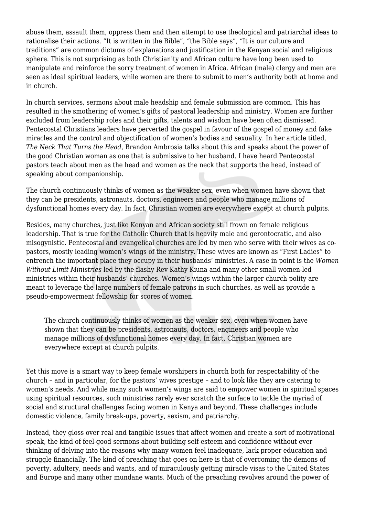abuse them, assault them, oppress them and then attempt to use theological and patriarchal ideas to rationalise their actions. "It is written in the Bible", "the Bible says", "It is our culture and traditions" are common dictums of explanations and justification in the Kenyan social and religious sphere. This is not surprising as both Christianity and African culture have long been used to manipulate and reinforce the sorry treatment of women in Africa. African (male) clergy and men are seen as ideal spiritual leaders, while women are there to submit to men's authority both at home and in church.

In church services, sermons about male headship and female submission are common. This has resulted in the smothering of women's gifts of pastoral leadership and ministry. Women are further excluded from leadership roles and their gifts, talents and wisdom have been often dismissed. Pentecostal Christians leaders have perverted the gospel in favour of the gospel of money and fake miracles and the control and objectification of women's bodies and sexuality. In her article titled, *The Neck That Turns the Head*, Brandon Ambrosia talks about this and speaks about the power of the good Christian woman as one that is submissive to her husband. I have heard Pentecostal pastors teach about men as the head and women as the neck that supports the head, instead of speaking about companionship.

The church continuously thinks of women as the weaker sex, even when women have shown that they can be presidents, astronauts, doctors, engineers and people who manage millions of dysfunctional homes every day. In fact, Christian women are everywhere except at church pulpits.

Besides, many churches, just like Kenyan and African society still frown on female religious leadership. That is true for the Catholic Church that is heavily male and gerontocratic, and also misogynistic. Pentecostal and evangelical churches are led by men who serve with their wives as copastors, mostly leading women's wings of the ministry. These wives are known as "First Ladies" to entrench the important place they occupy in their husbands' ministries. A case in point is the *Women Without Limit Ministries* led by the flashy Rev Kathy Kiuna and many other small women-led ministries within their husbands' churches. Women's wings within the larger church polity are meant to leverage the large numbers of female patrons in such churches, as well as provide a pseudo-empowerment fellowship for scores of women.

The church continuously thinks of women as the weaker sex, even when women have shown that they can be presidents, astronauts, doctors, engineers and people who manage millions of dysfunctional homes every day. In fact, Christian women are everywhere except at church pulpits.

Yet this move is a smart way to keep female worshipers in church both for respectability of the church – and in particular, for the pastors' wives prestige – and to look like they are catering to women's needs. And while many such women's wings are said to empower women in spiritual spaces using spiritual resources, such ministries rarely ever scratch the surface to tackle the myriad of social and structural challenges facing women in Kenya and beyond. These challenges include domestic violence, family break-ups, poverty, sexism, and patriarchy.

Instead, they gloss over real and tangible issues that affect women and create a sort of motivational speak, the kind of feel-good sermons about building self-esteem and confidence without ever thinking of delving into the reasons why many women feel inadequate, lack proper education and struggle financially. The kind of preaching that goes on here is that of overcoming the demons of poverty, adultery, needs and wants, and of miraculously getting miracle visas to the United States and Europe and many other mundane wants. Much of the preaching revolves around the power of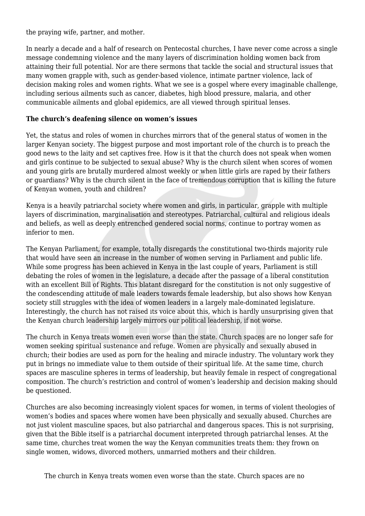the praying wife, partner, and mother.

In nearly a decade and a half of research on Pentecostal churches, I have never come across a single message condemning violence and the many layers of discrimination holding women back from attaining their full potential. Nor are there sermons that tackle the social and structural issues that many women grapple with, such as gender-based violence, intimate partner violence, lack of decision making roles and women rights. What we see is a gospel where every imaginable challenge, including serious ailments such as cancer, diabetes, high blood pressure, malaria, and other communicable ailments and global epidemics, are all viewed through spiritual lenses.

## **The church's deafening silence on women's issues**

Yet, the status and roles of women in churches mirrors that of the general status of women in the larger Kenyan society. The biggest purpose and most important role of the church is to preach the good news to the laity and set captives free. How is it that the church does not speak when women and girls continue to be subjected to sexual abuse? Why is the church silent when scores of women and young girls are brutally murdered almost weekly or when little girls are raped by their fathers or guardians? Why is the church silent in the face of tremendous corruption that is killing the future of Kenyan women, youth and children?

Kenya is a heavily patriarchal society where women and girls, in particular, grapple with multiple layers of discrimination, marginalisation and stereotypes. Patriarchal, cultural and religious ideals and beliefs, as well as deeply entrenched gendered social norms, continue to portray women as inferior to men.

The Kenyan Parliament, for example, totally disregards the constitutional two-thirds majority rule that would have seen an increase in the number of women serving in Parliament and public life. While some progress has been achieved in Kenya in the last couple of years, Parliament is still debating the roles of women in the legislature, a decade after the passage of a liberal constitution with an excellent Bill of Rights. This blatant disregard for the constitution is not only suggestive of the condescending attitude of male leaders towards female leadership, but also shows how Kenyan society still struggles with the idea of women leaders in a largely male-dominated legislature. Interestingly, the church has not raised its voice about this, which is hardly unsurprising given that the Kenyan church leadership largely mirrors our political leadership, if not worse.

The church in Kenya treats women even worse than the state. Church spaces are no longer safe for women seeking spiritual sustenance and refuge. Women are physically and sexually abused in church; their bodies are used as porn for the healing and miracle industry. The voluntary work they put in brings no immediate value to them outside of their spiritual life. At the same time, church spaces are masculine spheres in terms of leadership, but heavily female in respect of congregational composition. The church's restriction and control of women's leadership and decision making should be questioned.

Churches are also becoming increasingly violent spaces for women, in terms of violent theologies of women's bodies and spaces where women have been physically and sexually abused. Churches are not just violent masculine spaces, but also patriarchal and dangerous spaces. This is not surprising, given that the Bible itself is a patriarchal document interpreted through patriarchal lenses. At the same time, churches treat women the way the Kenyan communities treats them: they frown on single women, widows, divorced mothers, unmarried mothers and their children.

The church in Kenya treats women even worse than the state. Church spaces are no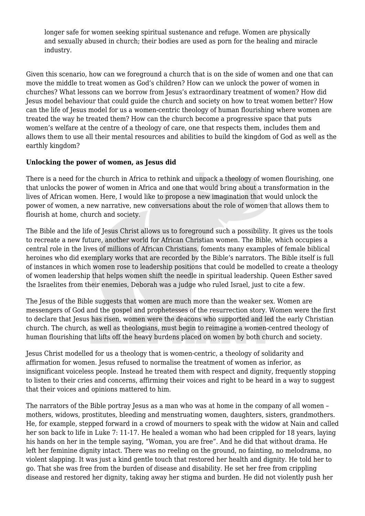longer safe for women seeking spiritual sustenance and refuge. Women are physically and sexually abused in church; their bodies are used as porn for the healing and miracle industry.

Given this scenario, how can we foreground a church that is on the side of women and one that can move the middle to treat women as God's children? How can we unlock the power of women in churches? What lessons can we borrow from Jesus's extraordinary treatment of women? How did Jesus model behaviour that could guide the church and society on how to treat women better? How can the life of Jesus model for us a women-centric theology of human flourishing where women are treated the way he treated them? How can the church become a progressive space that puts women's welfare at the centre of a theology of care, one that respects them, includes them and allows them to use all their mental resources and abilities to build the kingdom of God as well as the earthly kingdom?

## **Unlocking the power of women, as Jesus did**

There is a need for the church in Africa to rethink and unpack a theology of women flourishing, one that unlocks the power of women in Africa and one that would bring about a transformation in the lives of African women. Here, I would like to propose a new imagination that would unlock the power of women, a new narrative, new conversations about the role of women that allows them to flourish at home, church and society.

The Bible and the life of Jesus Christ allows us to foreground such a possibility. It gives us the tools to recreate a new future, another world for African Christian women. The Bible, which occupies a central role in the lives of millions of African Christians, foments many examples of female biblical heroines who did exemplary works that are recorded by the Bible's narrators. The Bible itself is full of instances in which women rose to leadership positions that could be modelled to create a theology of women leadership that helps women shift the needle in spiritual leadership. Queen Esther saved the Israelites from their enemies, Deborah was a judge who ruled Israel, just to cite a few.

The Jesus of the Bible suggests that women are much more than the weaker sex. Women are messengers of God and the gospel and prophetesses of the resurrection story. Women were the first to declare that Jesus has risen, women were the deacons who supported and led the early Christian church. The church, as well as theologians, must begin to reimagine a women-centred theology of human flourishing that lifts off the heavy burdens placed on women by both church and society.

Jesus Christ modelled for us a theology that is women-centric, a theology of solidarity and affirmation for women. Jesus refused to normalise the treatment of women as inferior, as insignificant voiceless people. Instead he treated them with respect and dignity, frequently stopping to listen to their cries and concerns, affirming their voices and right to be heard in a way to suggest that their voices and opinions mattered to him.

The narrators of the Bible portray Jesus as a man who was at home in the company of all women – mothers, widows, prostitutes, bleeding and menstruating women, daughters, sisters, grandmothers. He, for example, stepped forward in a crowd of mourners to speak with the widow at Nain and called her son back to life in Luke 7: 11-17. He healed a woman who had been crippled for 18 years, laying his hands on her in the temple saying, "Woman, you are free". And he did that without drama. He left her feminine dignity intact. There was no reeling on the ground, no fainting, no melodrama, no violent slapping. It was just a kind gentle touch that restored her health and dignity. He told her to go. That she was free from the burden of disease and disability. He set her free from crippling disease and restored her dignity, taking away her stigma and burden. He did not violently push her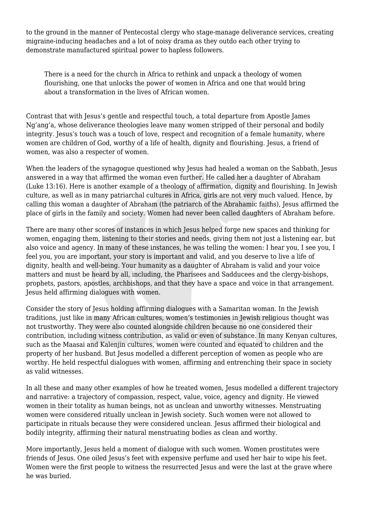to the ground in the manner of Pentecostal clergy who stage-manage deliverance services, creating migraine-inducing headaches and a lot of noisy drama as they outdo each other trying to demonstrate manufactured spiritual power to hapless followers.

There is a need for the church in Africa to rethink and unpack a theology of women flourishing, one that unlocks the power of women in Africa and one that would bring about a transformation in the lives of African women.

Contrast that with Jesus's gentle and respectful touch, a total departure from Apostle James Ng'ang'a, whose deliverance theologies leave many women stripped of their personal and bodily integrity. Jesus's touch was a touch of love, respect and recognition of a female humanity, where women are children of God, worthy of a life of health, dignity and flourishing. Jesus, a friend of women, was also a respecter of women.

When the leaders of the synagogue questioned why Jesus had healed a woman on the Sabbath, Jesus answered in a way that affirmed the woman even further. He called her a daughter of Abraham (Luke 13:16). Here is another example of a theology of affirmation, dignity and flourishing. In Jewish culture, as well as in many patriarchal cultures in Africa, girls are not very much valued. Hence, by calling this woman a daughter of Abraham (the patriarch of the Abrahamic faiths), Jesus affirmed the place of girls in the family and society. Women had never been called daughters of Abraham before.

There are many other scores of instances in which Jesus helped forge new spaces and thinking for women, engaging them, listening to their stories and needs, giving them not just a listening ear, but also voice and agency. In many of these instances, he was telling the women: I hear you, I see you, I feel you, you are important, your story is important and valid, and you deserve to live a life of dignity, health and well-being. Your humanity as a daughter of Abraham is valid and your voice matters and must be heard by all, including, the Pharisees and Sadducees and the clergy-bishops, prophets, pastors, apostles, archbishops, and that they have a space and voice in that arrangement. Jesus held affirming dialogues with women.

Consider the story of Jesus holding affirming dialogues with a Samaritan woman. In the Jewish traditions, just like in many African cultures, women's testimonies in Jewish religious thought was not trustworthy. They were also counted alongside children because no one considered their contribution, including witness contribution, as valid or even of substance. In many Kenyan cultures, such as the Maasai and Kalenjin cultures, women were counted and equated to children and the property of her husband. But Jesus modelled a different perception of women as people who are worthy. He held respectful dialogues with women, affirming and entrenching their space in society as valid witnesses.

In all these and many other examples of how he treated women, Jesus modelled a different trajectory and narrative: a trajectory of compassion, respect, value, voice, agency and dignity. He viewed women in their totality as human beings, not as unclean and unworthy witnesses. Menstruating women were considered ritually unclean in Jewish society. Such women were not allowed to participate in rituals because they were considered unclean. Jesus affirmed their biological and bodily integrity, affirming their natural menstruating bodies as clean and worthy.

More importantly, Jesus held a moment of dialogue with such women. Women prostitutes were friends of Jesus. One oiled Jesus's feet with expensive perfume and used her hair to wipe his feet. Women were the first people to witness the resurrected Jesus and were the last at the grave where he was buried.